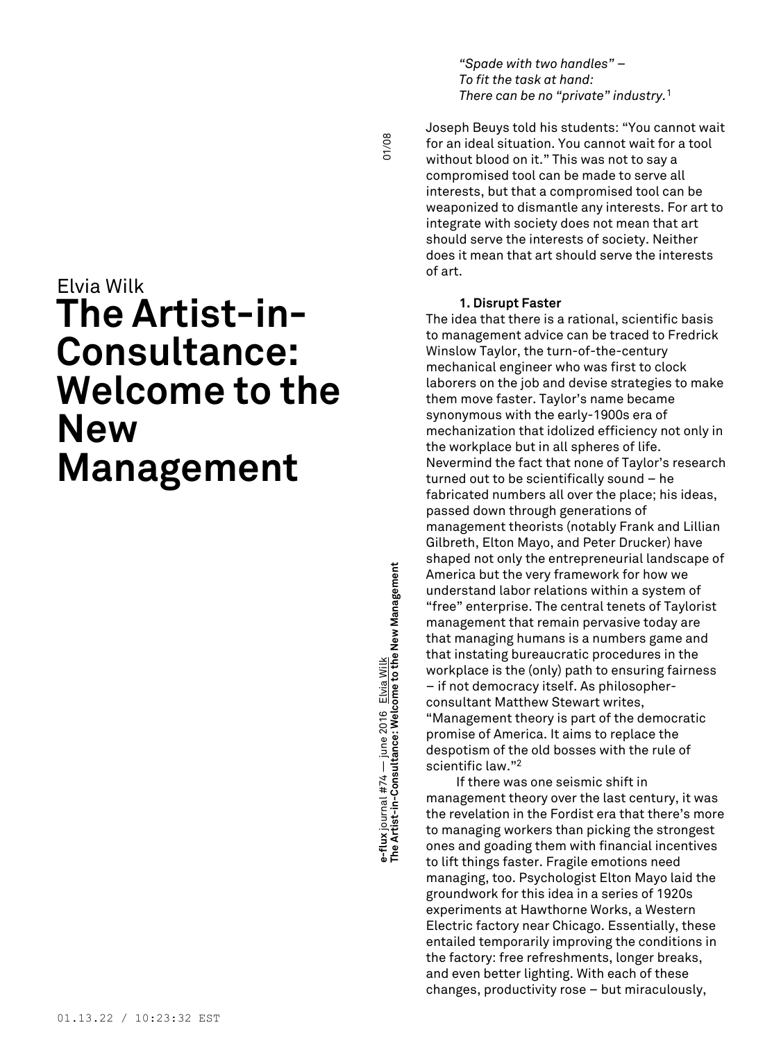*"Spade with two handles" – To fit the task at hand: There can be no "private" industry.* 1

01/08

# Elvia Wilk **The Artist-in-Consultance: Welcome to the New Management**

e-flux journal #74 — june 2016 <u>Elvia Wilk</u><br>The Artist-in-Consultance: Welcome to the New Management **Management The Artist-in-Consultance: Welcome to the New e-flux** journal #74 — june 2016 Elvia Wilk

Joseph Beuys told his students: "You cannot wait for an ideal situation. You cannot wait for a tool without blood on it." This was not to say a compromised tool can be made to serve all interests, but that a compromised tool can be weaponized to dismantle any interests. For art to integrate with society does not mean that art should serve the interests of society. Neither does it mean that art should serve the interests of art.

# **1. Disrupt Faster**

The idea that there is a rational, scientific basis to management advice can be traced to Fredrick Winslow Taylor, the turn-of-the-century mechanical engineer who was first to clock laborers on the job and devise strategies to make them move faster. Taylor's name became synonymous with the early-1900s era of mechanization that idolized efficiency not only in the workplace but in all spheres of life. Nevermind the fact that none of Taylor's research turned out to be scientifically sound – he fabricated numbers all over the place; his ideas, passed down through generations of management theorists (notably Frank and Lillian Gilbreth, Elton Mayo, and Peter Drucker) have shaped not only the entrepreneurial landscape of America but the very framework for how we understand labor relations within a system of "free" enterprise. The central tenets of Taylorist management that remain pervasive today are that managing humans is a numbers game and that instating bureaucratic procedures in the workplace is the (only) path to ensuring fairness – if not democracy itself. As philosopherconsultant Matthew Stewart writes, "Management theory is part of the democratic promise of America. It aims to replace the despotism of the old bosses with the rule of scientific law." 2

If there was one seismic shift in management theory over the last century, it was the revelation in the Fordist era that there's more to managing workers than picking the strongest ones and goading them with financial incentives to lift things faster. Fragile emotions need managing, too. Psychologist Elton Mayo laid the groundwork for this idea in a series of 1920s experiments at Hawthorne Works, a Western Electric factory near Chicago. Essentially, these entailed temporarily improving the conditions in the factory: free refreshments, longer breaks, and even better lighting. With each of these changes, productivity rose – but miraculously,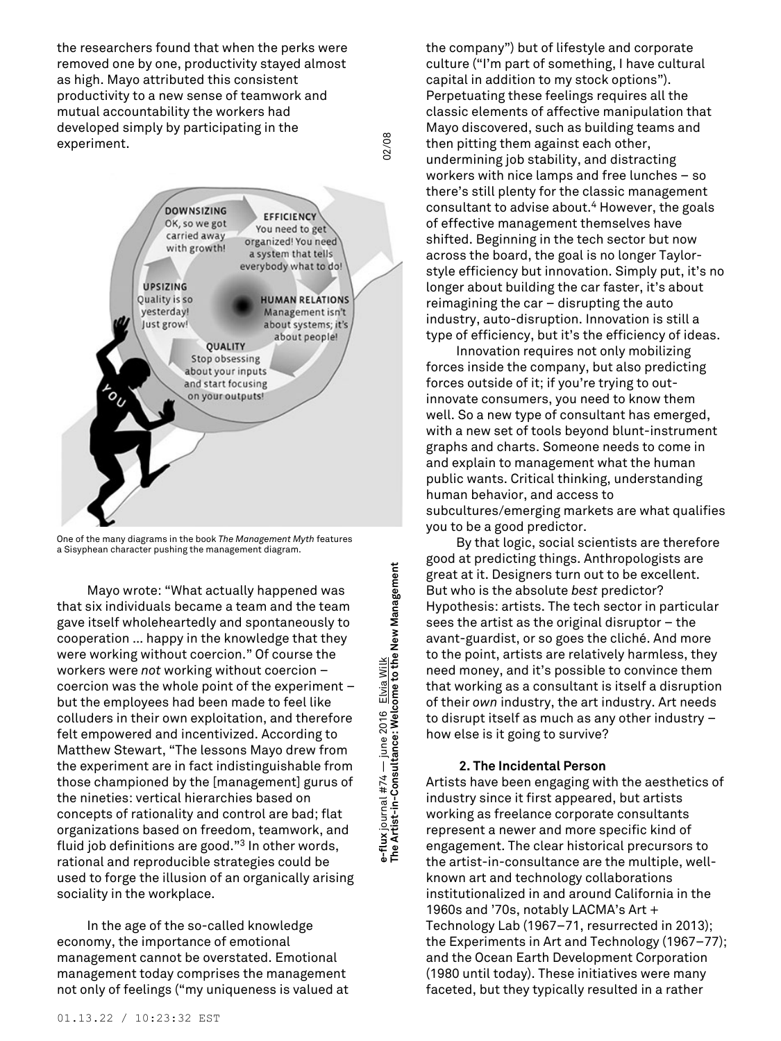the researchers found that when the perks were removed one by one, productivity stayed almost as high. Mayo attributed this consistent productivity to a new sense of teamwork and mutual accountability the workers had developed simply by participating in the experiment.



One of the many diagrams in the book *The Management Myth* features a Sisyphean character pushing the management diagram.

Mayo wrote: "What actually happened was that six individuals became a team and the team gave itself wholeheartedly and spontaneously to cooperation … happy in the knowledge that they were working without coercion." Of course the workers were *not* working without coercion – coercion was the whole point of the experiment – but the employees had been made to feel like colluders in their own exploitation, and therefore felt empowered and incentivized. According to Matthew Stewart, "The lessons Mayo drew from the experiment are in fact indistinguishable from those championed by the [management] gurus of the nineties: vertical hierarchies based on concepts of rationality and control are bad; flat organizations based on freedom, teamwork, and fluid job definitions are good." <sup>3</sup> In other words, rational and reproducible strategies could be used to forge the illusion of an organically arising sociality in the workplace.

In the age of the so-called knowledge economy, the importance of emotional management cannot be overstated. Emotional management today comprises the management not only of feelings ("my uniqueness is valued at e-flux journal #74 — june 2016 <u>Elvia Wilk</u><br>The Artist-in-Consultance: Welcome to the New Management **Management The Artist-in-Consultance: Welcome to the New e-flux** journal #74 — june 2016 Elvia Wilk

02/08

the company") but of lifestyle and corporate culture ("I'm part of something, I have cultural capital in addition to my stock options"). Perpetuating these feelings requires all the classic elements of affective manipulation that Mayo discovered, such as building teams and then pitting them against each other, undermining job stability, and distracting workers with nice lamps and free lunches – so there's still plenty for the classic management consultant to advise about. <sup>4</sup> However, the goals of effective management themselves have shifted. Beginning in the tech sector but now across the board, the goal is no longer Taylorstyle efficiency but innovation. Simply put, it's no longer about building the car faster, it's about reimagining the car – disrupting the auto industry, auto-disruption. Innovation is still a type of efficiency, but it's the efficiency of ideas.

Innovation requires not only mobilizing forces inside the company, but also predicting forces outside of it; if you're trying to outinnovate consumers, you need to know them well. So a new type of consultant has emerged, with a new set of tools beyond blunt-instrument graphs and charts. Someone needs to come in and explain to management what the human public wants. Critical thinking, understanding human behavior, and access to subcultures/emerging markets are what qualifies you to be a good predictor.

By that logic, social scientists are therefore good at predicting things. Anthropologists are great at it. Designers turn out to be excellent. But who is the absolute *best* predictor? Hypothesis: artists. The tech sector in particular sees the artist as the original disruptor – the avant-guardist, or so goes the cliché. And more to the point, artists are relatively harmless, they need money, and it's possible to convince them that working as a consultant is itself a disruption of their *own* industry, the art industry. Art needs to disrupt itself as much as any other industry – how else is it going to survive?

# **2. The Incidental Person**

Artists have been engaging with the aesthetics of industry since it first appeared, but artists working as freelance corporate consultants represent a newer and more specific kind of engagement. The clear historical precursors to the artist-in-consultance are the multiple, wellknown art and technology collaborations institutionalized in and around California in the 1960s and '70s, notably LACMA's Art + Technology Lab (1967–71, resurrected in 2013); the Experiments in Art and Technology (1967–77); and the Ocean Earth Development Corporation (1980 until today). These initiatives were many faceted, but they typically resulted in a rather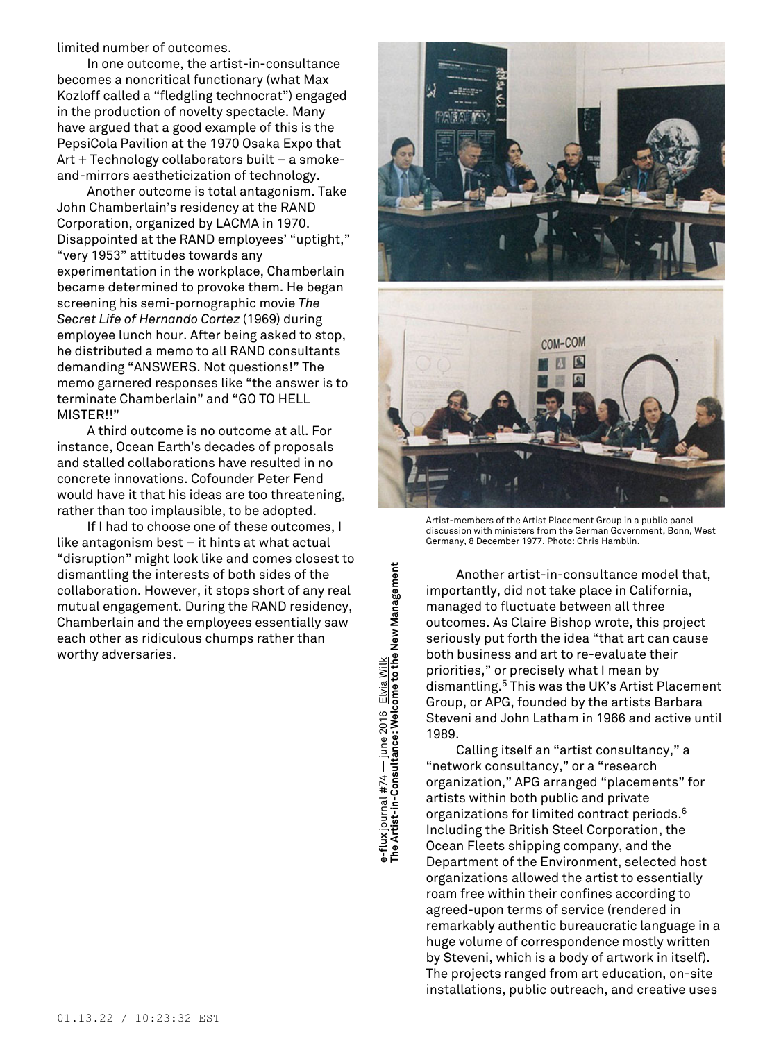limited number of outcomes.

In one outcome, the artist-in-consultance becomes a noncritical functionary (what Max Kozloff called a "fledgling technocrat") engaged in the production of novelty spectacle. Many have argued that a good example of this is the PepsiCola Pavilion at the 1970 Osaka Expo that Art + Technology collaborators built – a smokeand-mirrors aestheticization of technology.

Another outcome is total antagonism. Take John Chamberlain's residency at the RAND Corporation, organized by LACMA in 1970. Disappointed at the RAND employees' "uptight," "very 1953" attitudes towards any experimentation in the workplace, Chamberlain became determined to provoke them. He began screening his semi-pornographic movie *The Secret Life of Hernando Cortez* (1969) during employee lunch hour. After being asked to stop, he distributed a memo to all RAND consultants demanding "ANSWERS. Not questions!" The memo garnered responses like "the answer is to terminate Chamberlain" and "GO TO HELL MISTER!!"

A third outcome is no outcome at all. For instance, Ocean Earth's decades of proposals and stalled collaborations have resulted in no concrete innovations. Cofounder Peter Fend would have it that his ideas are too threatening, rather than too implausible, to be adopted.

If I had to choose one of these outcomes, I like antagonism best – it hints at what actual "disruption" might look like and comes closest to dismantling the interests of both sides of the collaboration. However, it stops short of any real mutual engagement. During the RAND residency, Chamberlain and the employees essentially saw each other as ridiculous chumps rather than worthy adversaries.





Artist-members of the Artist Placement Group in a public panel discussion with ministers from the German Government, Bonn, West Germany, 8 December 1977. Photo: Chris Hamblin.

Another artist-in-consultance model that, importantly, did not take place in California, managed to fluctuate between all three outcomes. As Claire Bishop wrote, this project seriously put forth the idea "that art can cause both business and art to re-evaluate their priorities," or precisely what I mean by dismantling. <sup>5</sup> This was the UK's Artist Placement Group, or APG, founded by the artists Barbara Steveni and John Latham in 1966 and active until 1989.

Calling itself an "artist consultancy," a "network consultancy," or a "research organization," APG arranged "placements" for artists within both public and private organizations for limited contract periods. 6 Including the British Steel Corporation, the Ocean Fleets shipping company, and the Department of the Environment, selected host organizations allowed the artist to essentially roam free within their confines according to agreed-upon terms of service (rendered in remarkably authentic bureaucratic language in a huge volume of correspondence mostly written by Steveni, which is a body of artwork in itself). The projects ranged from art education, on-site installations, public outreach, and creative uses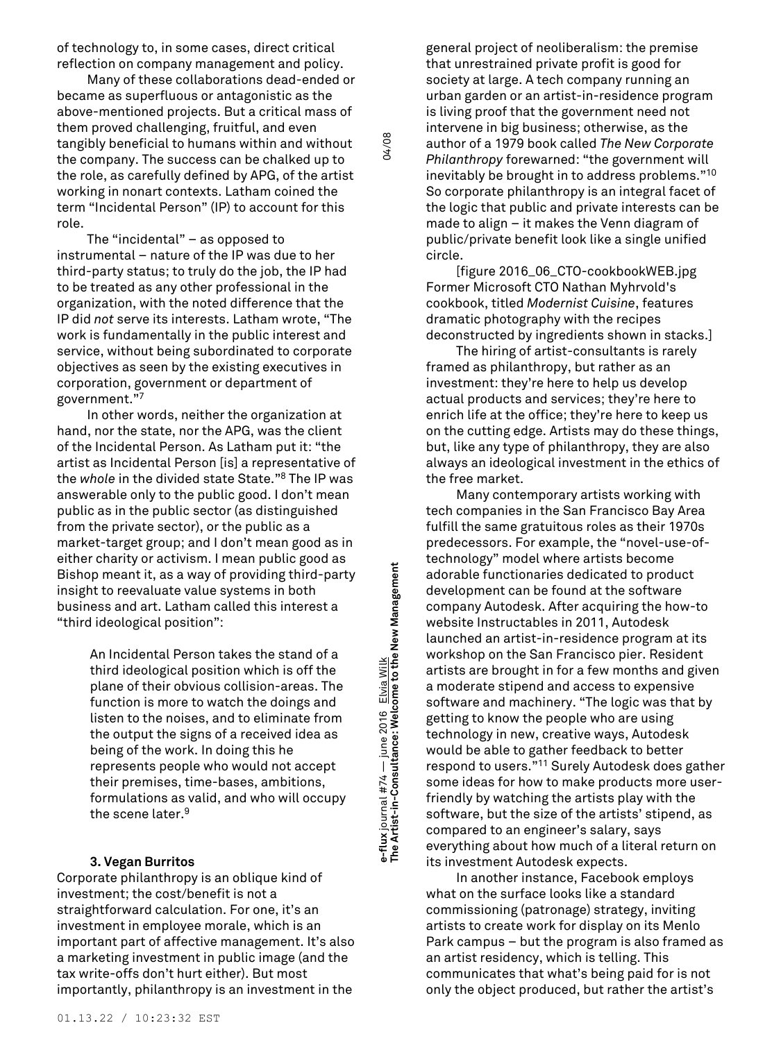of technology to, in some cases, direct critical reflection on company management and policy.

Many of these collaborations dead-ended or became as superfluous or antagonistic as the above-mentioned projects. But a critical mass of them proved challenging, fruitful, and even tangibly beneficial to humans within and without the company. The success can be chalked up to the role, as carefully defined by APG, of the artist working in nonart contexts. Latham coined the term "Incidental Person" (IP) to account for this role.

The "incidental" – as opposed to instrumental – nature of the IP was due to her third-party status; to truly do the job, the IP had to be treated as any other professional in the organization, with the noted difference that the IP did *not* serve its interests. Latham wrote, "The work is fundamentally in the public interest and service, without being subordinated to corporate objectives as seen by the existing executives in corporation, government or department of government." 7

In other words, neither the organization at hand, nor the state, nor the APG, was the client of the Incidental Person. As Latham put it: "the artist as Incidental Person [is] a representative of the *whole* in the divided state State." <sup>8</sup> The IP was answerable only to the public good. I don't mean public as in the public sector (as distinguished from the private sector), or the public as a market-target group; and I don't mean good as in either charity or activism. I mean public good as Bishop meant it, as a way of providing third-party insight to reevaluate value systems in both business and art. Latham called this interest a "third ideological position":

> An Incidental Person takes the stand of a third ideological position which is off the plane of their obvious collision-areas. The function is more to watch the doings and listen to the noises, and to eliminate from the output the signs of a received idea as being of the work. In doing this he represents people who would not accept their premises, time-bases, ambitions, formulations as valid, and who will occupy the scene later. 9

e-flux journal #74 — june 2016 <u>Elvia Wilk</u><br>The Artist-in-Consultance: Welcome to the New Management **Management The Artist-in-Consultance: Welcome to the New e-flux** journal #74 — june 2016 Elvia Wilk

04/08

# **3. Vegan Burritos**

Corporate philanthropy is an oblique kind of investment; the cost/benefit is not a straightforward calculation. For one, it's an investment in employee morale, which is an important part of affective management. It's also a marketing investment in public image (and the tax write-offs don't hurt either). But most importantly, philanthropy is an investment in the

general project of neoliberalism: the premise that unrestrained private profit is good for society at large. A tech company running an urban garden or an artist-in-residence program is living proof that the government need not intervene in big business; otherwise, as the author of a 1979 book called *The New Corporate Philanthropy* forewarned: "the government will inevitably be brought in to address problems." $^{\rm 10}$ So corporate philanthropy is an integral facet of the logic that public and private interests can be made to align – it makes the Venn diagram of public/private benefit look like a single unified circle.

[figure 2016\_06\_CTO-cookbookWEB.jpg Former Microsoft CTO Nathan Myhrvold's cookbook, titled *Modernist Cuisine*, features dramatic photography with the recipes deconstructed by ingredients shown in stacks.]

The hiring of artist-consultants is rarely framed as philanthropy, but rather as an investment: they're here to help us develop actual products and services; they're here to enrich life at the office; they're here to keep us on the cutting edge. Artists may do these things, but, like any type of philanthropy, they are also always an ideological investment in the ethics of the free market.

Many contemporary artists working with tech companies in the San Francisco Bay Area fulfill the same gratuitous roles as their 1970s predecessors. For example, the "novel-use-oftechnology" model where artists become adorable functionaries dedicated to product development can be found at the software company Autodesk. After acquiring the how-to website Instructables in 2011, Autodesk launched an artist-in-residence program at its workshop on the San Francisco pier. Resident artists are brought in for a few months and given a moderate stipend and access to expensive software and machinery. "The logic was that by getting to know the people who are using technology in new, creative ways, Autodesk would be able to gather feedback to better respond to users." <sup>11</sup> Surely Autodesk does gather some ideas for how to make products more userfriendly by watching the artists play with the software, but the size of the artists' stipend, as compared to an engineer's salary, says everything about how much of a literal return on its investment Autodesk expects.

In another instance, Facebook employs what on the surface looks like a standard commissioning (patronage) strategy, inviting artists to create work for display on its Menlo Park campus – but the program is also framed as an artist residency, which is telling. This communicates that what's being paid for is not only the object produced, but rather the artist's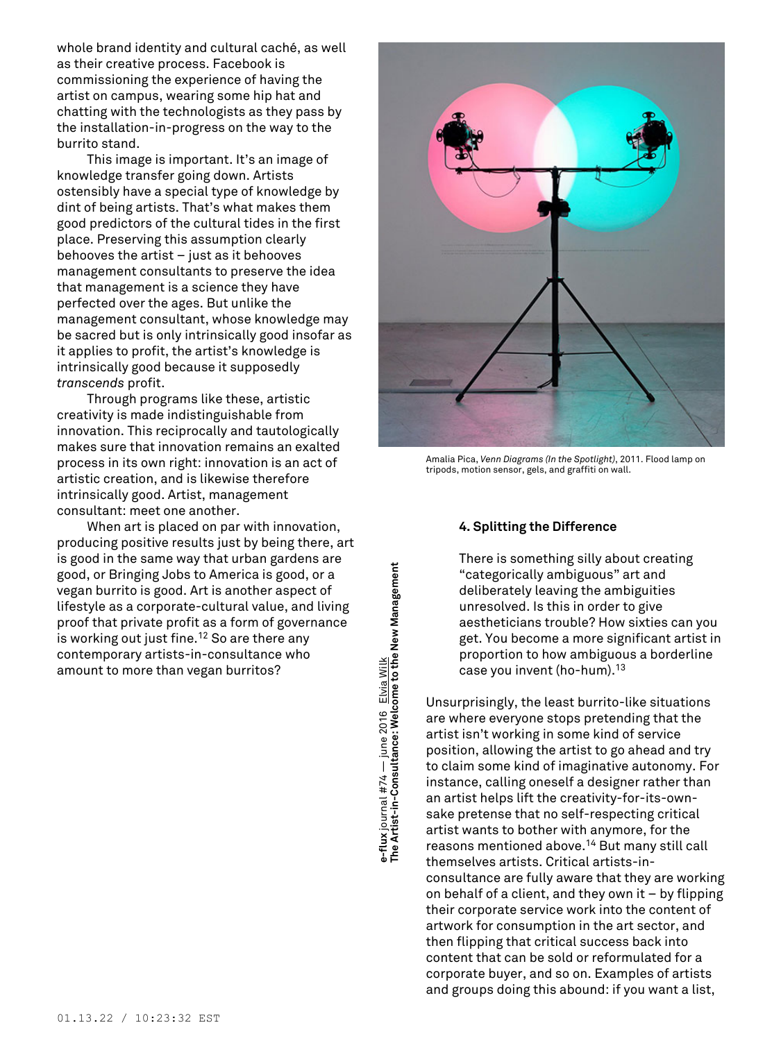whole brand identity and cultural caché, as well as their creative process. Facebook is commissioning the experience of having the artist on campus, wearing some hip hat and chatting with the technologists as they pass by the installation-in-progress on the way to the burrito stand.

This image is important. It's an image of knowledge transfer going down. Artists ostensibly have a special type of knowledge by dint of being artists. That's what makes them good predictors of the cultural tides in the first place. Preserving this assumption clearly behooves the artist – just as it behooves management consultants to preserve the idea that management is a science they have perfected over the ages. But unlike the management consultant, whose knowledge may be sacred but is only intrinsically good insofar as it applies to profit, the artist's knowledge is intrinsically good because it supposedly *transcends* profit.

Through programs like these, artistic creativity is made indistinguishable from innovation. This reciprocally and tautologically makes sure that innovation remains an exalted process in its own right: innovation is an act of artistic creation, and is likewise therefore intrinsically good. Artist, management consultant: meet one another.

When art is placed on par with innovation, producing positive results just by being there, art is good in the same way that urban gardens are good, or Bringing Jobs to America is good, or a vegan burrito is good. Art is another aspect of lifestyle as a corporate-cultural value, and living proof that private profit as a form of governance is working out just fine. <sup>12</sup> So are there any contemporary artists-in-consultance who amount to more than vegan burritos?





Amalia Pica, *Venn Diagrams (In the Spotlight)*, 2011. Flood lamp on tripods, motion sensor, gels, and graffiti on wall.

# **4. Splitting the Difference**

There is something silly about creating "categorically ambiguous" art and deliberately leaving the ambiguities unresolved. Is this in order to give aestheticians trouble? How sixties can you get. You become a more significant artist in proportion to how ambiguous a borderline case you invent (ho-hum). 13

Unsurprisingly, the least burrito-like situations are where everyone stops pretending that the artist isn't working in some kind of service position, allowing the artist to go ahead and try to claim some kind of imaginative autonomy. For instance, calling oneself a designer rather than an artist helps lift the creativity-for-its-ownsake pretense that no self-respecting critical artist wants to bother with anymore, for the reasons mentioned above. <sup>14</sup> But many still call themselves artists. Critical artists-inconsultance are fully aware that they are working on behalf of a client, and they own it – by flipping their corporate service work into the content of artwork for consumption in the art sector, and then flipping that critical success back into content that can be sold or reformulated for a corporate buyer, and so on. Examples of artists and groups doing this abound: if you want a list,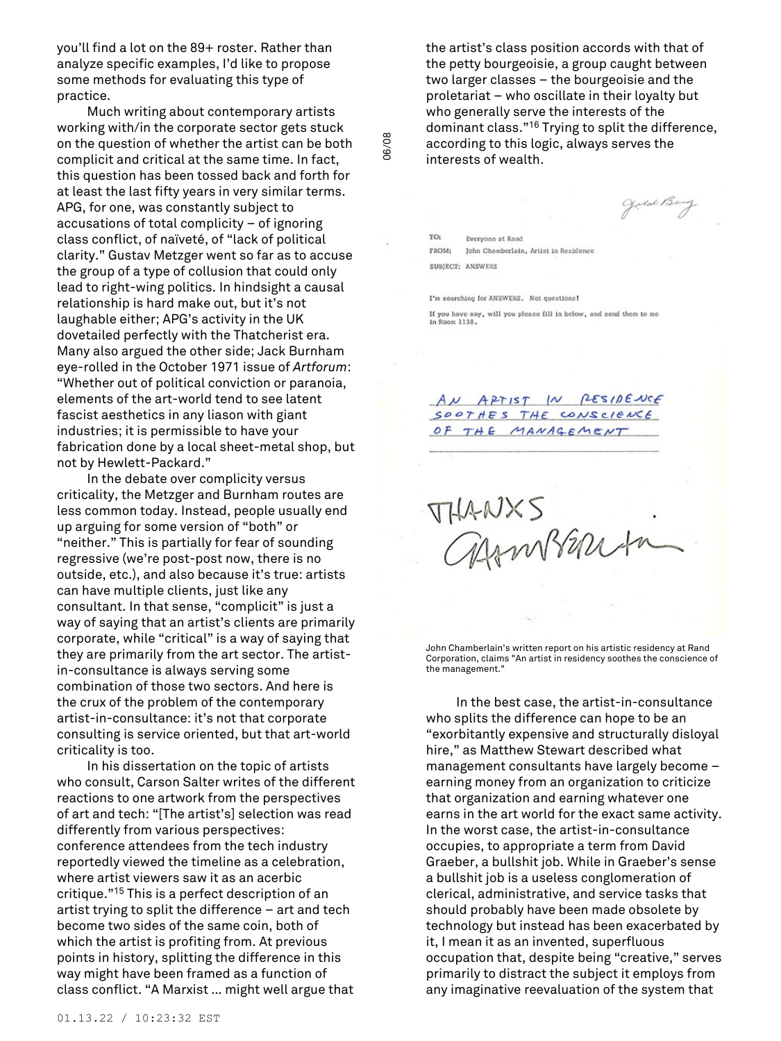you'll find a lot on the 89+ roster. Rather than analyze specific examples, I'd like to propose some methods for evaluating this type of practice.

Much writing about contemporary artists working with/in the corporate sector gets stuck on the question of whether the artist can be both complicit and critical at the same time. In fact, this question has been tossed back and forth for at least the last fifty years in very similar terms. APG, for one, was constantly subject to accusations of total complicity – of ignoring class conflict, of naïveté, of "lack of political clarity." Gustav Metzger went so far as to accuse the group of a type of collusion that could only lead to right-wing politics. In hindsight a causal relationship is hard make out, but it's not laughable either; APG's activity in the UK dovetailed perfectly with the Thatcherist era. Many also argued the other side; Jack Burnham eye-rolled in the October 1971 issue of *Artforum*: "Whether out of political conviction or paranoia, elements of the art-world tend to see latent fascist aesthetics in any liason with giant industries; it is permissible to have your fabrication done by a local sheet-metal shop, but not by Hewlett-Packard."

In the debate over complicity versus criticality, the Metzger and Burnham routes are less common today. Instead, people usually end up arguing for some version of "both" or "neither." This is partially for fear of sounding regressive (we're post-post now, there is no outside, etc.), and also because it's true: artists can have multiple clients, just like any consultant. In that sense, "complicit" is just a way of saying that an artist's clients are primarily corporate, while "critical" is a way of saying that they are primarily from the art sector. The artistin-consultance is always serving some combination of those two sectors. And here is the crux of the problem of the contemporary artist-in-consultance: it's not that corporate consulting is service oriented, but that art-world criticality is too.

In his dissertation on the topic of artists who consult, Carson Salter writes of the different reactions to one artwork from the perspectives of art and tech: "[The artist's] selection was read differently from various perspectives: conference attendees from the tech industry reportedly viewed the timeline as a celebration, where artist viewers saw it as an acerbic critique." <sup>15</sup> This is a perfect description of an artist trying to split the difference – art and tech become two sides of the same coin, both of which the artist is profiting from. At previous points in history, splitting the difference in this way might have been framed as a function of class conflict. "A Marxist … might well argue that

the artist's class position accords with that of the petty bourgeoisie, a group caught between two larger classes – the bourgeoisie and the proletariat – who oscillate in their loyalty but who generally serve the interests of the dominant class." <sup>16</sup> Trying to split the difference, according to this logic, always serves the interests of wealth.

Joed Beng

TO: Everyone at Rand FROM: John Chemberlein, Artist in Residence SUBJECT: ANSWERS

06/08

I'm searching for ANSWERS. Not questions! If you have any, will you please fill in below, and send them to me in Room 1138.

AN APTIST IN PESIDENCE SOOTHES THE CONSCIENCE OF THE MANAGEMENT

THANXS.

John Chamberlain's written report on his artistic residency at Rand Corporation, claims "An artist in residency soothes the conscience of the management."

In the best case, the artist-in-consultance who splits the difference can hope to be an "exorbitantly expensive and structurally disloyal hire," as Matthew Stewart described what management consultants have largely become – earning money from an organization to criticize that organization and earning whatever one earns in the art world for the exact same activity. In the worst case, the artist-in-consultance occupies, to appropriate a term from David Graeber, a bullshit job. While in Graeber's sense a bullshit job is a useless conglomeration of clerical, administrative, and service tasks that should probably have been made obsolete by technology but instead has been exacerbated by it, I mean it as an invented, superfluous occupation that, despite being "creative," serves primarily to distract the subject it employs from any imaginative reevaluation of the system that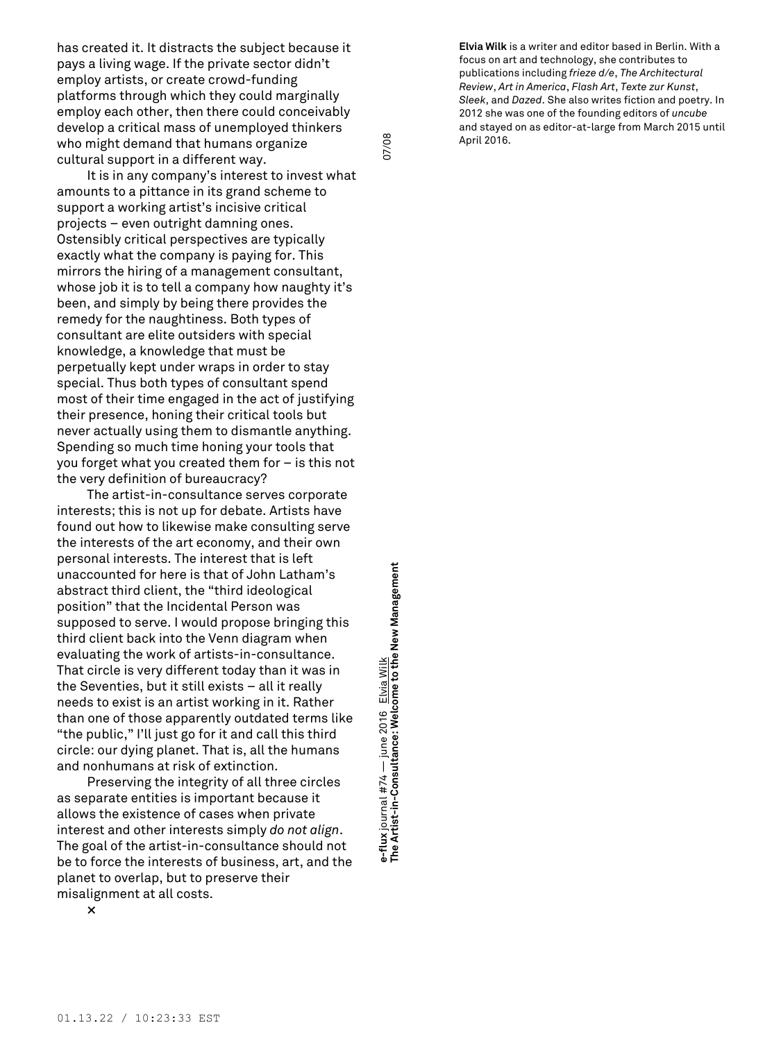has created it. It distracts the subject because it pays a living wage. If the private sector didn't employ artists, or create crowd-funding platforms through which they could marginally employ each other, then there could conceivably develop a critical mass of unemployed thinkers who might demand that humans organize cultural support in a different way.

It is in any company's interest to invest what amounts to a pittance in its grand scheme to support a working artist's incisive critical projects – even outright damning ones. Ostensibly critical perspectives are typically exactly what the company is paying for. This mirrors the hiring of a management consultant, whose job it is to tell a company how naughty it's been, and simply by being there provides the remedy for the naughtiness. Both types of consultant are elite outsiders with special knowledge, a knowledge that must be perpetually kept under wraps in order to stay special. Thus both types of consultant spend most of their time engaged in the act of justifying their presence, honing their critical tools but never actually using them to dismantle anything. Spending so much time honing your tools that you forget what you created them for – is this not the very definition of bureaucracy?

The artist-in-consultance serves corporate interests; this is not up for debate. Artists have found out how to likewise make consulting serve the interests of the art economy, and their own personal interests. The interest that is left unaccounted for here is that of John Latham's abstract third client, the "third ideological position" that the Incidental Person was supposed to serve. I would propose bringing this third client back into the Venn diagram when evaluating the work of artists-in-consultance. That circle is very different today than it was in the Seventies, but it still exists – all it really needs to exist is an artist working in it. Rather than one of those apparently outdated terms like "the public," I'll just go for it and call this third circle: our dying planet. That is, all the humans and nonhumans at risk of extinction.

Preserving the integrity of all three circles as separate entities is important because it allows the existence of cases when private interest and other interests simply *do not align*. The goal of the artist-in-consultance should not be to force the interests of business, art, and the planet to overlap, but to preserve their misalignment at all costs.

e-flux journal #74 — june 2016 <u>Elvia Wilk</u><br>The Artist-in-Consultance: Welcome to the New Management **Management The Artist-in-Consultance: Welcome to the New** journal #74 — june 2016 Elvia Wilk **e-flux** journal #74 — june 2016 Elvia Wilk

07/08

**Elvia Wilk** is a writer and editor based in Berlin. With a focus on art and technology, she contributes to publications including *frieze d/e*, *The Architectural Review*, *Art in America*, *Flash Art*, *Texte zur Kunst*, *Sleek*, and *Dazed*. She also writes fiction and poetry. In 2012 she was one of the founding editors of *uncube* and stayed on as editor-at-large from March 2015 until April 2016.

**×**